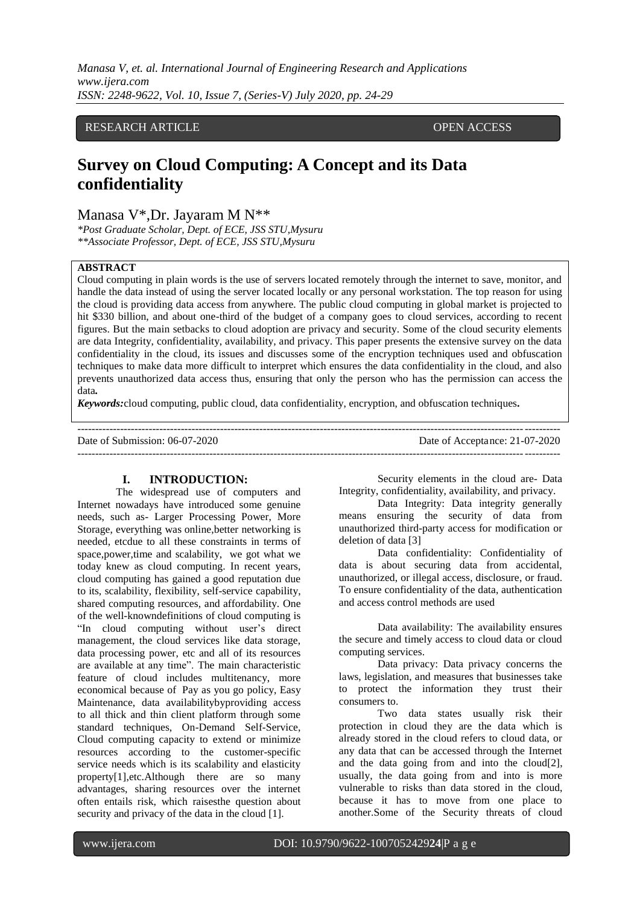*Manasa V, et. al. International Journal of Engineering Research and Applications www.ijera.com ISSN: 2248-9622, Vol. 10, Issue 7, (Series-V) July 2020, pp. 24-29*

## RESEARCH ARTICLE **OPEN ACCESS**

# **Survey on Cloud Computing: A Concept and its Data confidentiality**

Manasa V\*,Dr. Jayaram M N\*\*

*\*Post Graduate Scholar, Dept. of ECE, JSS STU,Mysuru \*\*Associate Professor, Dept. of ECE, JSS STU,Mysuru*

#### **ABSTRACT**

Cloud computing in plain words is the use of servers located remotely through the internet to save, monitor, and handle the data instead of using the server located locally or any personal workstation. The top reason for using the cloud is providing data access from anywhere. The public cloud computing in global market is projected to hit \$330 billion, and about one-third of the budget of a company goes to cloud services, according to recent figures. But the main setbacks to cloud adoption are privacy and security. Some of the cloud security elements are data Integrity, confidentiality, availability, and privacy. This paper presents the extensive survey on the data confidentiality in the cloud, its issues and discusses some of the encryption techniques used and obfuscation techniques to make data more difficult to interpret which ensures the data confidentiality in the cloud, and also prevents unauthorized data access thus, ensuring that only the person who has the permission can access the data*.*

---------------------------------------------------------------------------------------------------------------------------------------

*Keywords:*cloud computing, public cloud, data confidentiality, encryption, and obfuscation techniques*.*

Date of Submission: 06-07-2020 Date of Acceptance: 21-07-2020

---------------------------------------------------------------------------------------------------------------------------------------

#### **I. INTRODUCTION:**

The widespread use of computers and Internet nowadays have introduced some genuine needs, such as- Larger Processing Power, More Storage, everything was online,better networking is needed, etcdue to all these constraints in terms of space,power,time and scalability, we got what we today knew as cloud computing. In recent years, cloud computing has gained a good reputation due to its, scalability, flexibility, self-service capability, shared computing resources, and affordability. One of the well-knowndefinitions of cloud computing is "In cloud computing without user's direct management, the cloud services like data storage, data processing power, etc and all of its resources are available at any time". The main characteristic feature of cloud includes multitenancy, more economical because of Pay as you go policy, Easy Maintenance, data availabilitybyproviding access to all thick and thin client platform through some standard techniques, On-Demand Self-Service, Cloud computing capacity to extend or minimize resources according to the customer-specific service needs which is its scalability and elasticity property[1],etc.Although there are so many advantages, sharing resources over the internet often entails risk, which raisesthe question about security and privacy of the data in the cloud [1].

Security elements in the cloud are- Data Integrity, confidentiality, availability, and privacy.

Data Integrity: Data integrity generally means ensuring the security of data from unauthorized third-party access for modification or deletion of data [3]

Data confidentiality: Confidentiality of data is about securing data from accidental, unauthorized, or illegal access, disclosure, or fraud. To ensure confidentiality of the data, authentication and access control methods are used

Data availability: The availability ensures the secure and timely access to cloud data or cloud computing services.

Data privacy: Data privacy concerns the laws, legislation, and measures that businesses take to protect the information they trust their consumers to.

Two data states usually risk their protection in cloud they are the data which is already stored in the cloud refers to cloud data, or any data that can be accessed through the Internet and the data going from and into the cloud[2], usually, the data going from and into is more vulnerable to risks than data stored in the cloud, because it has to move from one place to another.Some of the Security threats of cloud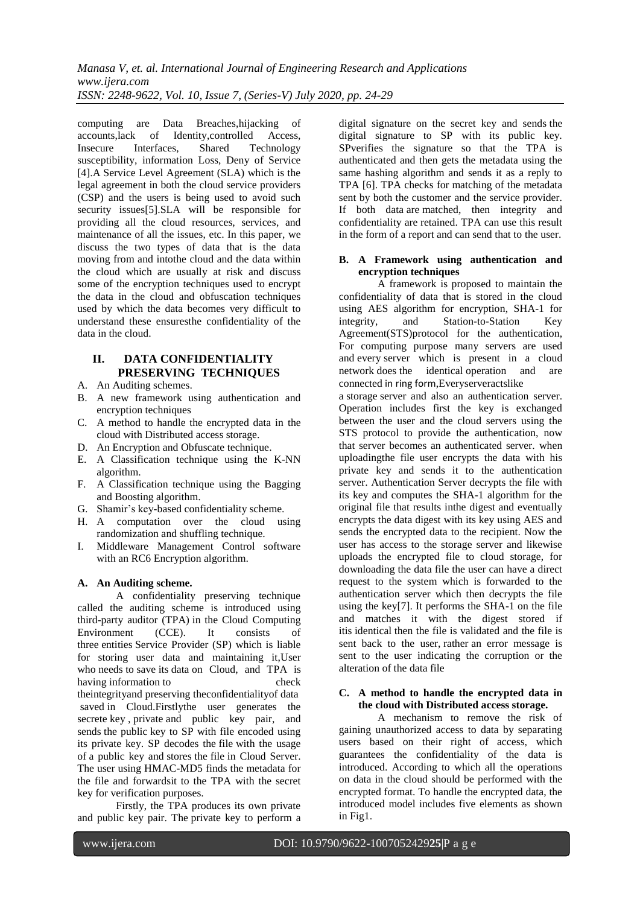computing are Data Breaches, hijacking of accounts.lack of Identity.controlled Access. of Identity,controlled Access, Insecure Interfaces, Shared Technology susceptibility, information Loss, Deny of Service [4].A Service Level Agreement (SLA) which is the legal agreement in both the cloud service providers (CSP) and the users is being used to avoid such security issues[5].SLA will be responsible for providing all the cloud resources, services, and maintenance of all the issues, etc. In this paper, we discuss the two types of data that is the data moving from and intothe cloud and the data within the cloud which are usually at risk and discuss some of the encryption techniques used to encrypt the data in the cloud and obfuscation techniques used by which the data becomes very difficult to understand these ensuresthe confidentiality of the data in the cloud.

# **II. DATA CONFIDENTIALITY PRESERVING TECHNIQUES**

- A. An Auditing schemes.
- B. A new framework using authentication and encryption techniques
- C. A method to handle the encrypted data in the cloud with Distributed access storage.
- D. An Encryption and Obfuscate technique.
- E. A Classification technique using the K-NN algorithm.
- F. A Classification technique using the Bagging and Boosting algorithm.
- G. Shamir's key-based confidentiality scheme.
- H. A computation over the cloud using randomization and shuffling technique.
- I. Middleware Management Control software with an RC6 Encryption algorithm.

## **A. An Auditing scheme.**

A confidentiality preserving technique called the auditing scheme is introduced using third-party auditor (TPA) in the Cloud Computing Environment (CCE). It consists of three entities Service Provider (SP) which is liable for storing user data and maintaining it,User who needs to save its data on Cloud, and TPA is having information to check theintegrityand preserving theconfidentialityof data saved in Cloud.Firstlythe user generates the secrete key , private and public key pair, and sends the public key to SP with file encoded using its private key. SP decodes the file with the usage of a public key and stores the file in Cloud Server. The user using HMAC-MD5 finds the metadata for the file and forwardsit to the TPA with the secret key for verification purposes.

Firstly, the TPA produces its own private and public key pair. The private key to perform a

digital signature on the secret key and sends the digital signature to SP with its public key. SPverifies the signature so that the TPA is authenticated and then gets the metadata using the same hashing algorithm and sends it as a reply to TPA [6]. TPA checks for matching of the metadata sent by both the customer and the service provider. If both data are matched, then integrity and confidentiality are retained. TPA can use this result in the form of a report and can send that to the user.

#### **B. A Framework using authentication and encryption techniques**

A framework is proposed to maintain the confidentiality of data that is stored in the cloud using AES algorithm for encryption, SHA-1 for integrity, and Station-to-Station Key Agreement(STS)protocol for the authentication, For computing purpose many servers are used and every server which is present in a cloud network does the identical operation and are connected in ring form,Everyserveractslike

a storage server and also an authentication server. Operation includes first the key is exchanged between the user and the cloud servers using the STS protocol to provide the authentication, now that server becomes an authenticated server. when uploadingthe file user encrypts the data with his private key and sends it to the authentication server. Authentication Server decrypts the file with its key and computes the SHA-1 algorithm for the original file that results inthe digest and eventually encrypts the data digest with its key using AES and sends the encrypted data to the recipient. Now the user has access to the storage server and likewise uploads the encrypted file to cloud storage, for downloading the data file the user can have a direct request to the system which is forwarded to the authentication server which then decrypts the file using the key[7]. It performs the SHA-1 on the file and matches it with the digest stored if itis identical then the file is validated and the file is sent back to the user, rather an error message is sent to the user indicating the corruption or the alteration of the data file

#### **C. A method to handle the encrypted data in the cloud with Distributed access storage.**

A mechanism to remove the risk of gaining unauthorized access to data by separating users based on their right of access, which guarantees the confidentiality of the data is introduced. According to which all the operations on data in the cloud should be performed with the encrypted format. To handle the encrypted data, the introduced model includes five elements as shown in Fig1.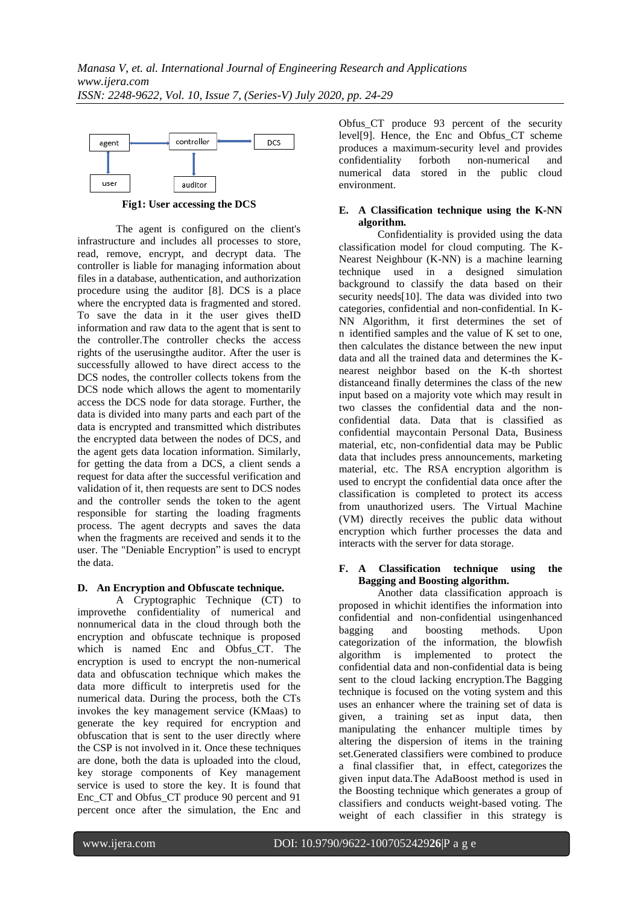

**Fig1: User accessing the DCS**

The agent is configured on the client's infrastructure and includes all processes to store, read, remove, encrypt, and decrypt data. The controller is liable for managing information about files in a database, authentication, and authorization procedure using the auditor [8]. DCS is a place where the encrypted data is fragmented and stored. To save the data in it the user gives theID information and raw data to the agent that is sent to the controller.The controller checks the access rights of the userusingthe auditor. After the user is successfully allowed to have direct access to the DCS nodes, the controller collects tokens from the DCS node which allows the agent to momentarily access the DCS node for data storage. Further, the data is divided into many parts and each part of the data is encrypted and transmitted which distributes the encrypted data between the nodes of DCS, and the agent gets data location information. Similarly, for getting the data from a DCS, a client sends a request for data after the successful verification and validation of it, then requests are sent to DCS nodes and the controller sends the token to the agent responsible for starting the loading fragments process. The agent decrypts and saves the data when the fragments are received and sends it to the user. The "Deniable Encryption" is used to encrypt the data.

#### **D. An Encryption and Obfuscate technique.**

A Cryptographic Technique (CT) to improvethe confidentiality of numerical and nonnumerical data in the cloud through both the encryption and obfuscate technique is proposed which is named Enc and Obfus\_CT. The encryption is used to encrypt the non-numerical data and obfuscation technique which makes the data more difficult to interpretis used for the numerical data. During the process, both the CTs invokes the key management service (KMaas) to generate the key required for encryption and obfuscation that is sent to the user directly where the CSP is not involved in it. Once these techniques are done, both the data is uploaded into the cloud, key storage components of Key management service is used to store the key. It is found that Enc\_CT and Obfus\_CT produce 90 percent and 91 percent once after the simulation, the Enc and

Obfus CT produce 93 percent of the security level[9]. Hence, the Enc and Obfus\_CT scheme produces a maximum-security level and provides confidentiality forboth non-numerical and numerical data stored in the public cloud environment.

#### **E. A Classification technique using the K-NN algorithm.**

Confidentiality is provided using the data classification model for cloud computing. The K-Nearest Neighbour (K-NN) is a machine learning technique used in a designed simulation background to classify the data based on their security needs[10]. The data was divided into two categories, confidential and non-confidential. In K-NN Algorithm, it first determines the set of n identified samples and the value of K set to one, then calculates the distance between the new input data and all the trained data and determines the Knearest neighbor based on the K-th shortest distanceand finally determines the class of the new input based on a majority vote which may result in two classes the confidential data and the nonconfidential data. Data that is classified as confidential maycontain Personal Data, Business material, etc, non-confidential data may be Public data that includes press announcements, marketing material, etc. The RSA encryption algorithm is used to encrypt the confidential data once after the classification is completed to protect its access from unauthorized users. The Virtual Machine (VM) directly receives the public data without encryption which further processes the data and interacts with the server for data storage.

#### **F. A Classification technique using the Bagging and Boosting algorithm.**

Another data classification approach is proposed in whichit identifies the information into confidential and non-confidential usingenhanced bagging and boosting methods. Upon categorization of the information, the blowfish algorithm is implemented to protect the confidential data and non-confidential data is being sent to the cloud lacking encryption.The Bagging technique is focused on the voting system and this uses an enhancer where the training set of data is given, a training set as input data, then manipulating the enhancer multiple times by altering the dispersion of items in the training set.Generated classifiers were combined to produce a final classifier that, in effect, categorizes the given input data.The AdaBoost method is used in the Boosting technique which generates a group of classifiers and conducts weight-based voting. The weight of each classifier in this strategy is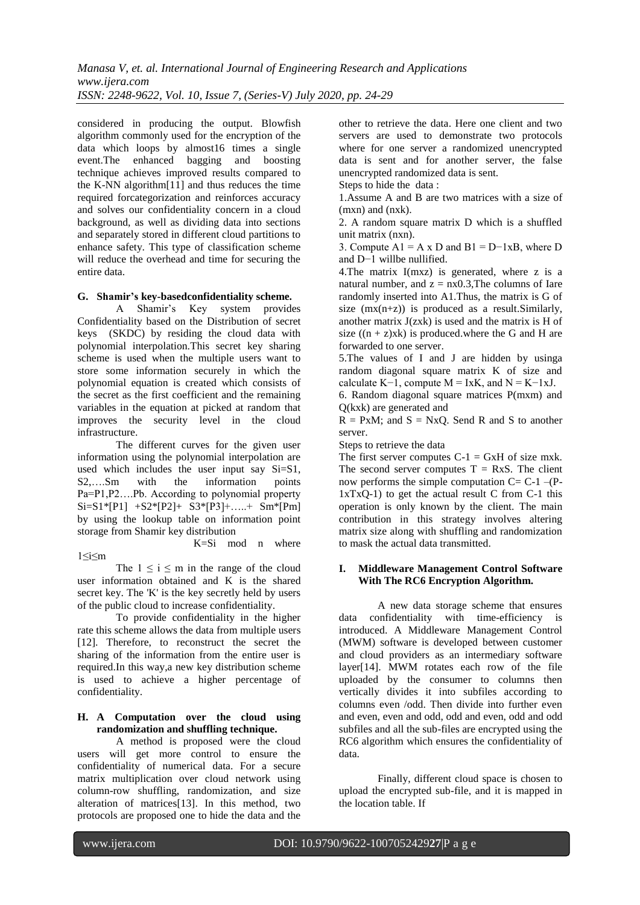considered in producing the output. Blowfish algorithm commonly used for the encryption of the data which loops by almost16 times a single event.The enhanced bagging and boosting technique achieves improved results compared to the K-NN algorithm[11] and thus reduces the time required forcategorization and reinforces accuracy and solves our confidentiality concern in a cloud background, as well as dividing data into sections and separately stored in different cloud partitions to enhance safety. This type of classification scheme will reduce the overhead and time for securing the entire data.

#### **G. Shamir's key-basedconfidentiality scheme.**

A Shamir's Key system provides Confidentiality based on the Distribution of secret keys (SKDC) by residing the cloud data with polynomial interpolation.This secret key sharing scheme is used when the multiple users want to store some information securely in which the polynomial equation is created which consists of the secret as the first coefficient and the remaining variables in the equation at picked at random that improves the security level in the cloud infrastructure.

The different curves for the given user information using the polynomial interpolation are used which includes the user input say Si=S1, S2,….Sm with the information points Pa=P1,P2….Pb. According to polynomial property  $Si=SI*[P1]$   $+S2*[P2]$   $+S3*[P3]$  + .... +  $Sm*[Pm]$ by using the lookup table on information point storage from Shamir key distribution

#### 1≤i≤m

K=Si mod n where

The  $1 \le i \le m$  in the range of the cloud user information obtained and K is the shared secret key. The 'K' is the key secretly held by users of the public cloud to increase confidentiality.

To provide confidentiality in the higher rate this scheme allows the data from multiple users [12]. Therefore, to reconstruct the secret the sharing of the information from the entire user is required.In this way,a new key distribution scheme is used to achieve a higher percentage of confidentiality.

#### **H. A Computation over the cloud using randomization and shuffling technique.**

A method is proposed were the cloud users will get more control to ensure the confidentiality of numerical data. For a secure matrix multiplication over cloud network using column-row shuffling, randomization, and size alteration of matrices[13]. In this method, two protocols are proposed one to hide the data and the

other to retrieve the data. Here one client and two servers are used to demonstrate two protocols where for one server a randomized unencrypted data is sent and for another server, the false unencrypted randomized data is sent.

Steps to hide the data:

1.Assume A and B are two matrices with a size of (mxn) and (nxk).

2. A random square matrix D which is a shuffled unit matrix (nxn).

3. Compute  $A1 = A \times D$  and  $B1 = D-1 \times B$ , where D and D−1 willbe nullified.

4.The matrix I(mxz) is generated, where z is a natural number, and  $z = nx0.3$ , The columns of Iare randomly inserted into A1.Thus, the matrix is G of size  $(mx(n+z))$  is produced as a result. Similarly, another matrix J(zxk) is used and the matrix is H of size  $((n + z)xk)$  is produced.where the G and H are forwarded to one server.

5.The values of I and J are hidden by usinga random diagonal square matrix K of size and calculate K-1, compute  $M = IxK$ , and  $N = K-1xJ$ .

6. Random diagonal square matrices P(mxm) and Q(kxk) are generated and

 $R = PxM$ ; and  $S = NxQ$ . Send R and S to another server.

Steps to retrieve the data

The first server computes  $C-1 = GxH$  of size mxk. The second server computes  $T = RxS$ . The client now performs the simple computation  $C = C-1$  –(P- $1xTxQ-1$ ) to get the actual result C from C-1 this operation is only known by the client. The main contribution in this strategy involves altering matrix size along with shuffling and randomization to mask the actual data transmitted.

#### **I. Middleware Management Control Software With The RC6 Encryption Algorithm.**

A new data storage scheme that ensures data confidentiality with time-efficiency is introduced. A Middleware Management Control (MWM) software is developed between customer and cloud providers as an intermediary software layer[14]. MWM rotates each row of the file uploaded by the consumer to columns then vertically divides it into subfiles according to columns even /odd. Then divide into further even and even, even and odd, odd and even, odd and odd subfiles and all the sub-files are encrypted using the RC6 algorithm which ensures the confidentiality of data.

Finally, different cloud space is chosen to upload the encrypted sub-file, and it is mapped in the location table. If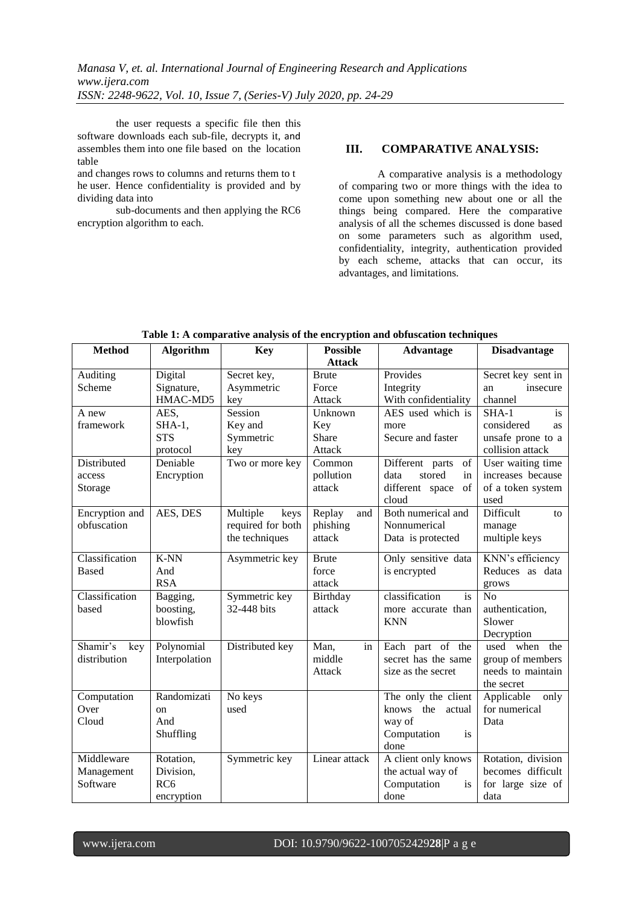*Manasa V, et. al. International Journal of Engineering Research and Applications www.ijera.com ISSN: 2248-9622, Vol. 10, Issue 7, (Series-V) July 2020, pp. 24-29*

the user requests a specific file then this software downloads each sub-file, decrypts it, and assembles them into one file based on the location table

and changes rows to columns and returns them to t he user. Hence confidentiality is provided and by dividing data into

sub-documents and then applying the RC6 encryption algorithm to each.

## **III. COMPARATIVE ANALYSIS:**

A comparative analysis is a methodology of comparing two or more things with the idea to come upon something new about one or all the things being compared. Here the comparative analysis of all the schemes discussed is done based on some parameters such as algorithm used, confidentiality, integrity, authentication provided by each scheme, attacks that can occur, its advantages, and limitations.

| <b>Method</b>          | Algorithm              | <b>Key</b>        | <b>Possible</b><br><b>Attack</b> | <b>Advantage</b>                         | <b>Disadvantage</b>                     |
|------------------------|------------------------|-------------------|----------------------------------|------------------------------------------|-----------------------------------------|
| Auditing               | Digital                | Secret key,       | <b>Brute</b>                     | Provides                                 | Secret key sent in                      |
| Scheme                 | Signature,             | Asymmetric        | Force                            | Integrity                                | insecure<br>an                          |
|                        | HMAC-MD5               | key               | Attack                           | With confidentiality                     | channel                                 |
| A new                  | AES,                   | Session           | Unknown                          | AES used which is                        | $SHA-1$<br>is                           |
| framework              | $SHA-1,$               | Key and           | Key                              | more                                     | considered<br>as                        |
|                        | <b>STS</b>             | Symmetric         | Share                            | Secure and faster                        | unsafe prone to a                       |
|                        | protocol               | key               | Attack                           |                                          | collision attack                        |
| Distributed            | Deniable               | Two or more key   | Common                           | of<br>Different parts                    | User waiting time                       |
| access                 | Encryption             |                   | pollution                        | stored<br>data<br>in                     | increases because                       |
| Storage                |                        |                   | attack                           | different space<br>of                    | of a token system                       |
|                        |                        |                   |                                  | cloud                                    | used                                    |
| Encryption and         | AES, DES               | Multiple<br>keys  | Replay<br>and                    | Both numerical and                       | Difficult<br>to                         |
| obfuscation            |                        | required for both | phishing                         | Nonnumerical                             | manage                                  |
|                        |                        | the techniques    | attack                           | Data is protected                        | multiple keys                           |
| Classification         | $K-NN$                 | Asymmetric key    | <b>Brute</b>                     | Only sensitive data                      | KNN's efficiency                        |
| <b>Based</b>           | And                    |                   | force                            | is encrypted                             | Reduces as data                         |
|                        | <b>RSA</b>             |                   | attack                           |                                          | grows                                   |
| Classification         | Bagging,               | Symmetric key     | Birthday                         | classification<br>is                     | N <sub>o</sub>                          |
| based                  | boosting,              | 32-448 bits       | attack                           | more accurate than                       | authentication,                         |
|                        | blowfish               |                   |                                  | <b>KNN</b>                               | Slower                                  |
|                        |                        |                   |                                  |                                          | Decryption                              |
| Shamir's<br>key        | Polynomial             | Distributed key   | Man,<br>in                       | Each part of the                         | used when the                           |
| distribution           | Interpolation          |                   | middle                           | secret has the same                      | group of members                        |
|                        |                        |                   | Attack                           | size as the secret                       | needs to maintain                       |
|                        |                        |                   |                                  |                                          | the secret                              |
| Computation            | Randomizati            | No keys           |                                  | The only the client                      | Applicable<br>only                      |
| Over                   | <sub>on</sub>          | used              |                                  | knows the actual                         | for numerical                           |
| Cloud                  | And                    |                   |                                  | way of                                   | Data                                    |
|                        | Shuffling              |                   |                                  | Computation<br><i>is</i>                 |                                         |
| Middleware             |                        |                   |                                  | done                                     |                                         |
|                        | Rotation,<br>Division, | Symmetric key     | Linear attack                    | A client only knows<br>the actual way of | Rotation, division<br>becomes difficult |
| Management<br>Software | RC <sub>6</sub>        |                   |                                  | Computation<br><i>is</i>                 | for large size of                       |
|                        | encryption             |                   |                                  | done                                     | data                                    |
|                        |                        |                   |                                  |                                          |                                         |